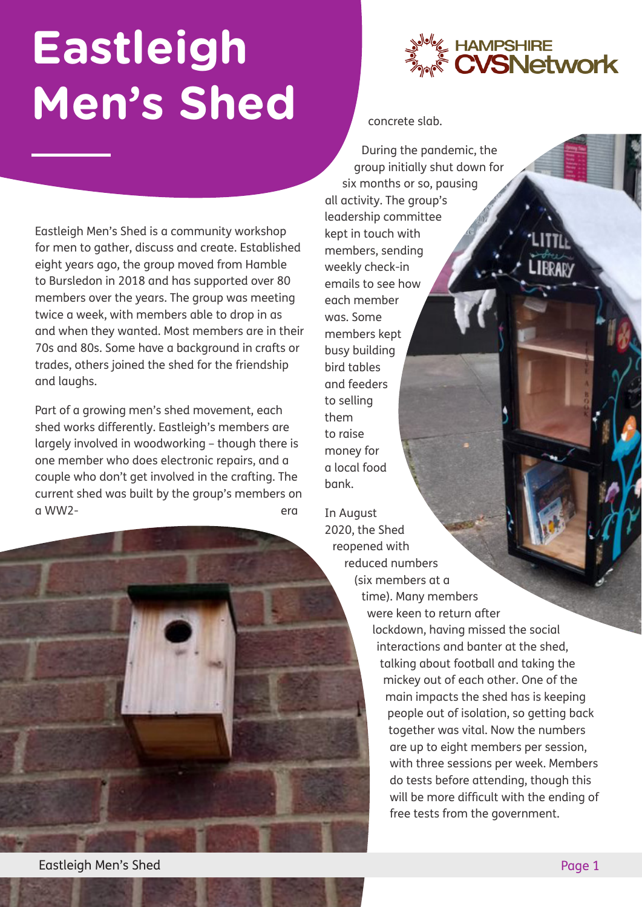## **Eastleigh Men's Shed**

Eastleigh Men's Shed is a community workshop for men to gather, discuss and create. Established eight years ago, the group moved from Hamble to Bursledon in 2018 and has supported over 80 members over the years. The group was meeting twice a week, with members able to drop in as and when they wanted. Most members are in their 70s and 80s. Some have a background in crafts or trades, others joined the shed for the friendship and laughs.

Part of a growing men's shed movement, each shed works differently. Eastleigh's members are largely involved in woodworking – though there is one member who does electronic repairs, and a couple who don't get involved in the crafting. The current shed was built by the group's members on a WW2-



concrete slab.

During the pandemic, the group initially shut down for six months or so, pausing all activity. The group's leadership committee kept in touch with members, sending weekly check-in emails to see how each member was. Some members kept busy building bird tables and feeders to selling them to raise money for a local food bank.

In August 2020, the Shed reopened with reduced numbers (six members at a time). Many members were keen to return after lockdown, having missed the social interactions and banter at the shed, talking about football and taking the mickey out of each other. One of the main impacts the shed has is keeping people out of isolation, so getting back together was vital. Now the numbers are up to eight members per session, with three sessions per week. Members do tests before attending, though this will be more difficult with the ending of free tests from the government.

Eastleigh Men's Shed Page 1